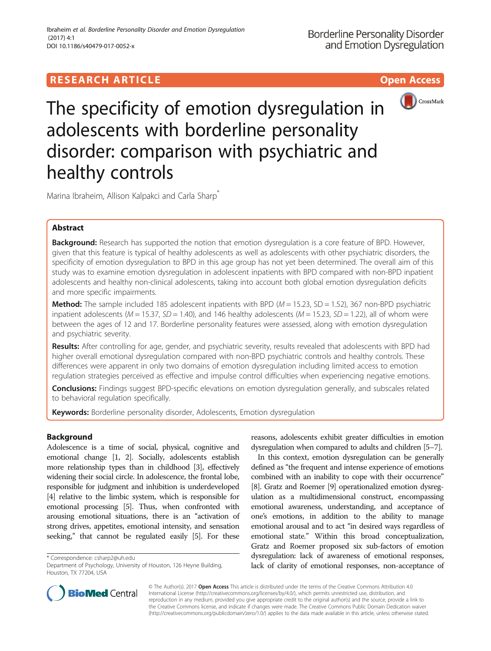# **RESEARCH ARTICLE Example 2018 12:30 THE OPEN ACCESS**



The specificity of emotion dysregulation in adolescents with borderline personality disorder: comparison with psychiatric and healthy controls

Marina Ibraheim, Allison Kalpakci and Carla Sharp<sup>\*</sup>

## Abstract

Background: Research has supported the notion that emotion dysregulation is a core feature of BPD. However, given that this feature is typical of healthy adolescents as well as adolescents with other psychiatric disorders, the specificity of emotion dysregulation to BPD in this age group has not yet been determined. The overall aim of this study was to examine emotion dysregulation in adolescent inpatients with BPD compared with non-BPD inpatient adolescents and healthy non-clinical adolescents, taking into account both global emotion dysregulation deficits and more specific impairments.

**Method:** The sample included 185 adolescent inpatients with BPD ( $M = 15.23$ , SD = 1.52), 367 non-BPD psychiatric inpatient adolescents ( $M = 15.37$ ,  $SD = 1.40$ ), and 146 healthy adolescents ( $M = 15.23$ ,  $SD = 1.22$ ), all of whom were between the ages of 12 and 17. Borderline personality features were assessed, along with emotion dysregulation and psychiatric severity.

Results: After controlling for age, gender, and psychiatric severity, results revealed that adolescents with BPD had higher overall emotional dysregulation compared with non-BPD psychiatric controls and healthy controls. These differences were apparent in only two domains of emotion dysregulation including limited access to emotion regulation strategies perceived as effective and impulse control difficulties when experiencing negative emotions.

**Conclusions:** Findings suggest BPD-specific elevations on emotion dysregulation generally, and subscales related to behavioral regulation specifically.

Keywords: Borderline personality disorder, Adolescents, Emotion dysregulation

## Background

Adolescence is a time of social, physical, cognitive and emotional change [\[1, 2\]](#page-7-0). Socially, adolescents establish more relationship types than in childhood [[3](#page-7-0)], effectively widening their social circle. In adolescence, the frontal lobe, responsible for judgment and inhibition is underdeveloped [[4](#page-7-0)] relative to the limbic system, which is responsible for emotional processing [\[5](#page-7-0)]. Thus, when confronted with arousing emotional situations, there is an "activation of strong drives, appetites, emotional intensity, and sensation seeking," that cannot be regulated easily [\[5\]](#page-7-0). For these

\* Correspondence: [csharp2@uh.edu](mailto:csharp2@uh.edu)

reasons, adolescents exhibit greater difficulties in emotion dysregulation when compared to adults and children [[5](#page-7-0)–[7\]](#page-7-0).

In this context, emotion dysregulation can be generally defined as "the frequent and intense experience of emotions combined with an inability to cope with their occurrence" [[8](#page-7-0)]. Gratz and Roemer [\[9](#page-7-0)] operationalized emotion dysregulation as a multidimensional construct, encompassing emotional awareness, understanding, and acceptance of one's emotions, in addition to the ability to manage emotional arousal and to act "in desired ways regardless of emotional state." Within this broad conceptualization, Gratz and Roemer proposed six sub-factors of emotion dysregulation: lack of awareness of emotional responses, lack of clarity of emotional responses, non-acceptance of



© The Author(s). 2017 **Open Access** This article is distributed under the terms of the Creative Commons Attribution 4.0 International License [\(http://creativecommons.org/licenses/by/4.0/](http://creativecommons.org/licenses/by/4.0/)), which permits unrestricted use, distribution, and reproduction in any medium, provided you give appropriate credit to the original author(s) and the source, provide a link to the Creative Commons license, and indicate if changes were made. The Creative Commons Public Domain Dedication waiver [\(http://creativecommons.org/publicdomain/zero/1.0/](http://creativecommons.org/publicdomain/zero/1.0/)) applies to the data made available in this article, unless otherwise stated.

Department of Psychology, University of Houston, 126 Heyne Building, Houston, TX 77204, USA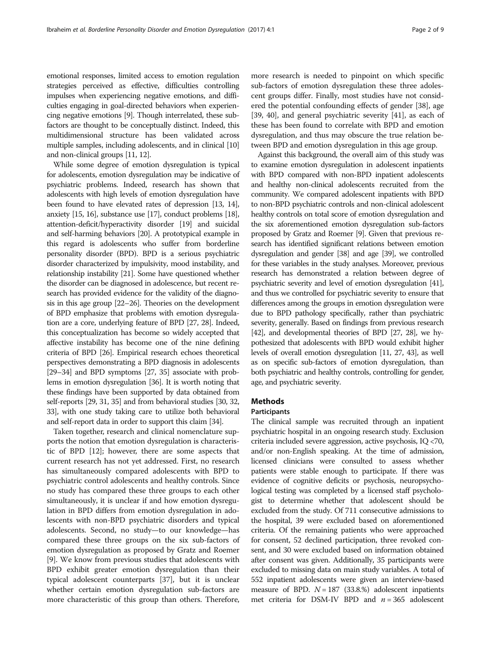emotional responses, limited access to emotion regulation strategies perceived as effective, difficulties controlling impulses when experiencing negative emotions, and difficulties engaging in goal-directed behaviors when experiencing negative emotions [\[9](#page-7-0)]. Though interrelated, these subfactors are thought to be conceptually distinct. Indeed, this multidimensional structure has been validated across multiple samples, including adolescents, and in clinical [\[10](#page-7-0)] and non-clinical groups [\[11](#page-7-0), [12](#page-7-0)].

While some degree of emotion dysregulation is typical for adolescents, emotion dysregulation may be indicative of psychiatric problems. Indeed, research has shown that adolescents with high levels of emotion dysregulation have been found to have elevated rates of depression [\[13, 14](#page-7-0)], anxiety [\[15, 16](#page-7-0)], substance use [[17](#page-7-0)], conduct problems [\[18](#page-7-0)], attention-deficit/hyperactivity disorder [[19](#page-7-0)] and suicidal and self-harming behaviors [[20](#page-7-0)]. A prototypical example in this regard is adolescents who suffer from borderline personality disorder (BPD). BPD is a serious psychiatric disorder characterized by impulsivity, mood instability, and relationship instability [\[21\]](#page-7-0). Some have questioned whether the disorder can be diagnosed in adolescence, but recent research has provided evidence for the validity of the diagnosis in this age group [[22](#page-7-0)–[26](#page-7-0)]. Theories on the development of BPD emphasize that problems with emotion dysregulation are a core, underlying feature of BPD [[27](#page-7-0), [28\]](#page-7-0). Indeed, this conceptualization has become so widely accepted that affective instability has become one of the nine defining criteria of BPD [[26](#page-7-0)]. Empirical research echoes theoretical perspectives demonstrating a BPD diagnosis in adolescents [[29](#page-7-0)–[34](#page-7-0)] and BPD symptoms [\[27, 35\]](#page-7-0) associate with problems in emotion dysregulation [[36](#page-7-0)]. It is worth noting that these findings have been supported by data obtained from self-reports [[29, 31](#page-7-0), [35](#page-7-0)] and from behavioral studies [[30](#page-7-0), [32](#page-7-0), [33](#page-7-0)], with one study taking care to utilize both behavioral and self-report data in order to support this claim [[34](#page-7-0)].

Taken together, research and clinical nomenclature supports the notion that emotion dysregulation is characteristic of BPD [\[12\]](#page-7-0); however, there are some aspects that current research has not yet addressed. First, no research has simultaneously compared adolescents with BPD to psychiatric control adolescents and healthy controls. Since no study has compared these three groups to each other simultaneously, it is unclear if and how emotion dysregulation in BPD differs from emotion dysregulation in adolescents with non-BPD psychiatric disorders and typical adolescents. Second, no study—to our knowledge—has compared these three groups on the six sub-factors of emotion dysregulation as proposed by Gratz and Roemer [[9\]](#page-7-0). We know from previous studies that adolescents with BPD exhibit greater emotion dysregulation than their typical adolescent counterparts [[37](#page-7-0)], but it is unclear whether certain emotion dysregulation sub-factors are more characteristic of this group than others. Therefore, more research is needed to pinpoint on which specific sub-factors of emotion dysregulation these three adolescent groups differ. Finally, most studies have not considered the potential confounding effects of gender [\[38\]](#page-7-0), age [[39](#page-7-0), [40](#page-7-0)], and general psychiatric severity [[41](#page-8-0)], as each of these has been found to correlate with BPD and emotion dysregulation, and thus may obscure the true relation between BPD and emotion dysregulation in this age group.

Against this background, the overall aim of this study was to examine emotion dysregulation in adolescent inpatients with BPD compared with non-BPD inpatient adolescents and healthy non-clinical adolescents recruited from the community. We compared adolescent inpatients with BPD to non-BPD psychiatric controls and non-clinical adolescent healthy controls on total score of emotion dysregulation and the six aforementioned emotion dysregulation sub-factors proposed by Gratz and Roemer [[9](#page-7-0)]. Given that previous research has identified significant relations between emotion dysregulation and gender [\[38](#page-7-0)] and age [\[39](#page-7-0)], we controlled for these variables in the study analyses. Moreover, previous research has demonstrated a relation between degree of psychiatric severity and level of emotion dysregulation [\[41](#page-8-0)], and thus we controlled for psychiatric severity to ensure that differences among the groups in emotion dysregulation were due to BPD pathology specifically, rather than psychiatric severity, generally. Based on findings from previous research [[42\]](#page-8-0), and developmental theories of BPD [[27](#page-7-0), [28\]](#page-7-0), we hypothesized that adolescents with BPD would exhibit higher levels of overall emotion dysregulation [[11, 27,](#page-7-0) [43\]](#page-8-0), as well as on specific sub-factors of emotion dysregulation, than both psychiatric and healthy controls, controlling for gender, age, and psychiatric severity.

### **Methods**

### **Participants**

The clinical sample was recruited through an inpatient psychiatric hospital in an ongoing research study. Exclusion criteria included severe aggression, active psychosis, IQ <70, and/or non-English speaking. At the time of admission, licensed clinicians were consulted to assess whether patients were stable enough to participate. If there was evidence of cognitive deficits or psychosis, neuropsychological testing was completed by a licensed staff psychologist to determine whether that adolescent should be excluded from the study. Of 711 consecutive admissions to the hospital, 39 were excluded based on aforementioned criteria. Of the remaining patients who were approached for consent, 52 declined participation, three revoked consent, and 30 were excluded based on information obtained after consent was given. Additionally, 35 participants were excluded to missing data on main study variables. A total of 552 inpatient adolescents were given an interview-based measure of BPD.  $N = 187$  (33.8.%) adolescent inpatients met criteria for DSM-IV BPD and  $n = 365$  adolescent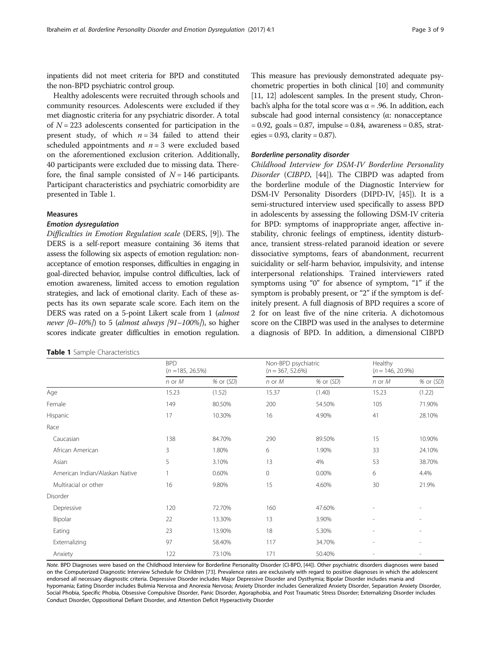inpatients did not meet criteria for BPD and constituted the non-BPD psychiatric control group.

Healthy adolescents were recruited through schools and community resources. Adolescents were excluded if they met diagnostic criteria for any psychiatric disorder. A total of  $N = 223$  adolescents consented for participation in the present study, of which  $n = 34$  failed to attend their scheduled appointments and  $n = 3$  were excluded based on the aforementioned exclusion criterion. Additionally, 40 participants were excluded due to missing data. Therefore, the final sample consisted of  $N = 146$  participants. Participant characteristics and psychiatric comorbidity are presented in Table 1.

### Measures

### Emotion dysregulation

Difficulties in Emotion Regulation scale (DERS, [[9\]](#page-7-0)). The DERS is a self-report measure containing 36 items that assess the following six aspects of emotion regulation: nonacceptance of emotion responses, difficulties in engaging in goal-directed behavior, impulse control difficulties, lack of emotion awareness, limited access to emotion regulation strategies, and lack of emotional clarity. Each of these aspects has its own separate scale score. Each item on the DERS was rated on a 5-point Likert scale from 1 (almost never  $[0-10\%]$  to 5 (almost always  $[91-100\%]$ ), so higher scores indicate greater difficulties in emotion regulation.

|  |  | <b>Table 1</b> Sample Characteristics |  |  |
|--|--|---------------------------------------|--|--|
|--|--|---------------------------------------|--|--|

This measure has previously demonstrated adequate psychometric properties in both clinical [[10](#page-7-0)] and community [[11](#page-7-0), [12\]](#page-7-0) adolescent samples. In the present study, Chronbach's alpha for the total score was α = .96. In addition, each subscale had good internal consistency (α: nonacceptance  $= 0.92$ , goals  $= 0.87$ , impulse  $= 0.84$ , awareness  $= 0.85$ , strategies =  $0.93$ , clarity =  $0.87$ ).

### Borderline personality disorder

Childhood Interview for DSM-IV Borderline Personality Disorder (CIBPD, [\[44](#page-8-0)]). The CIBPD was adapted from the borderline module of the Diagnostic Interview for DSM-IV Personality Disorders (DIPD-IV, [\[45\]](#page-8-0)). It is a semi-structured interview used specifically to assess BPD in adolescents by assessing the following DSM-IV criteria for BPD: symptoms of inappropriate anger, affective instability, chronic feelings of emptiness, identity disturbance, transient stress-related paranoid ideation or severe dissociative symptoms, fears of abandonment, recurrent suicidality or self-harm behavior, impulsivity, and intense interpersonal relationships. Trained interviewers rated symptoms using "0" for absence of symptom, "1" if the symptom is probably present, or "2" if the symptom is definitely present. A full diagnosis of BPD requires a score of 2 for on least five of the nine criteria. A dichotomous score on the CIBPD was used in the analyses to determine a diagnosis of BPD. In addition, a dimensional CIBPD

|                                | <b>BPD</b><br>$(n = 185, 26.5\%)$ |               |         | Non-BPD psychiatric<br>$(n = 367, 52.6\%)$ |                          | Healthy<br>$(n = 146, 20.9\%)$ |  |
|--------------------------------|-----------------------------------|---------------|---------|--------------------------------------------|--------------------------|--------------------------------|--|
|                                | n or M                            | $%$ or $(SD)$ | n or M  | $%$ or $(SD)$                              | n or M                   | % or (SD)                      |  |
| Age                            | 15.23                             | (1.52)        | 15.37   | (1.40)                                     | 15.23                    | (1.22)                         |  |
| Female                         | 149                               | 80.50%        | 200     | 54.50%                                     | 105                      | 71.90%                         |  |
| Hispanic                       | 17                                | 10.30%        | 16      | 4.90%                                      | 41                       | 28.10%                         |  |
| Race                           |                                   |               |         |                                            |                          |                                |  |
| Caucasian                      | 138                               | 84.70%        | 290     | 89.50%                                     | 15                       | 10.90%                         |  |
| African American               | 3                                 | 1.80%         | 6       | 1.90%                                      | 33                       | 24.10%                         |  |
| Asian                          | 5                                 | 3.10%         | 13      | 4%                                         | 53                       | 38.70%                         |  |
| American Indian/Alaskan Native |                                   | 0.60%         | $\circ$ | 0.00%                                      | 6                        | 4.4%                           |  |
| Multiracial or other           | 16                                | 9.80%         | 15      | 4.60%                                      | 30                       | 21.9%                          |  |
| Disorder                       |                                   |               |         |                                            |                          |                                |  |
| Depressive                     | 120                               | 72.70%        | 160     | 47.60%                                     |                          | $\overline{\phantom{a}}$       |  |
| Bipolar                        | 22                                | 13.30%        | 13      | 3.90%                                      |                          | $\overline{\phantom{0}}$       |  |
| Eating                         | 23                                | 13.90%        | 18      | 5.30%                                      | $\overline{\phantom{a}}$ | $\overline{\phantom{a}}$       |  |
| Externalizing                  | 97                                | 58.40%        | 117     | 34.70%                                     | $\overline{\phantom{a}}$ | $\overline{\phantom{0}}$       |  |
| Anxiety                        | 122                               | 73.10%        | 171     | 50.40%                                     |                          | $\overline{\phantom{a}}$       |  |

Note. BPD Diagnoses were based on the Childhood Interview for Borderline Personality Disorder (CI-BPD, [\[44](#page-8-0)]). Other psychiatric disorders diagnoses were based on the Computerized Diagnostic Interview Schedule for Children [[73](#page-8-0)]. Prevalence rates are exclusively with regard to positive diagnoses in which the adolescent endorsed all necessary diagnostic criteria. Depressive Disorder includes Major Depressive Disorder and Dysthymia; Bipolar Disorder includes mania and hypomania; Eating Disorder includes Bulimia Nervosa and Anorexia Nervosa; Anxiety Disorder includes Generalized Anxiety Disorder, Separation Anxiety Disorder, Social Phobia, Specific Phobia, Obsessive Compulsive Disorder, Panic Disorder, Agoraphobia, and Post Traumatic Stress Disorder; Externalizing Disorder includes Conduct Disorder, Oppositional Defiant Disorder, and Attention Deficit Hyperactivity Disorder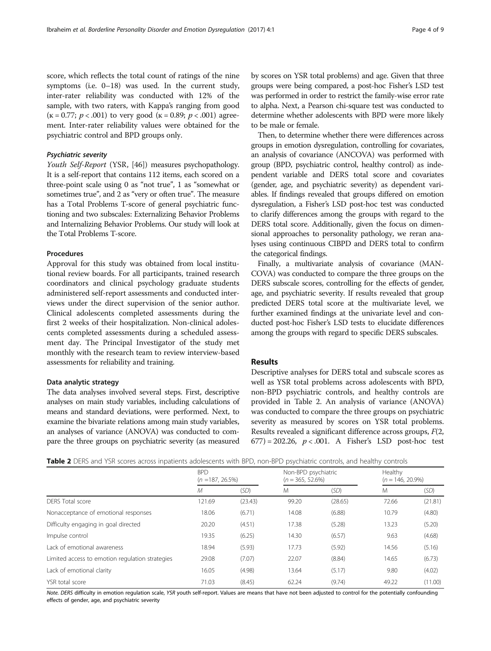<span id="page-3-0"></span>score, which reflects the total count of ratings of the nine symptoms (i.e. 0–18) was used. In the current study, inter-rater reliability was conducted with 12% of the sample, with two raters, with Kappa's ranging from good  $(k = 0.77; p < .001)$  to very good  $(k = 0.89; p < .001)$  agreement. Inter-rater reliability values were obtained for the psychiatric control and BPD groups only.

### Psychiatric severity

Youth Self-Report (YSR, [[46\]](#page-8-0)) measures psychopathology. It is a self-report that contains 112 items, each scored on a three-point scale using 0 as "not true", 1 as "somewhat or sometimes true", and 2 as "very or often true". The measure has a Total Problems T-score of general psychiatric functioning and two subscales: Externalizing Behavior Problems and Internalizing Behavior Problems. Our study will look at the Total Problems T-score.

#### Procedures

Approval for this study was obtained from local institutional review boards. For all participants, trained research coordinators and clinical psychology graduate students administered self-report assessments and conducted interviews under the direct supervision of the senior author. Clinical adolescents completed assessments during the first 2 weeks of their hospitalization. Non-clinical adolescents completed assessments during a scheduled assessment day. The Principal Investigator of the study met monthly with the research team to review interview-based assessments for reliability and training.

#### Data analytic strategy

The data analyses involved several steps. First, descriptive analyses on main study variables, including calculations of means and standard deviations, were performed. Next, to examine the bivariate relations among main study variables, an analyses of variance (ANOVA) was conducted to compare the three groups on psychiatric severity (as measured

by scores on YSR total problems) and age. Given that three groups were being compared, a post-hoc Fisher's LSD test was performed in order to restrict the family-wise error rate to alpha. Next, a Pearson chi-square test was conducted to determine whether adolescents with BPD were more likely to be male or female.

Then, to determine whether there were differences across groups in emotion dysregulation, controlling for covariates, an analysis of covariance (ANCOVA) was performed with group (BPD, psychiatric control, healthy control) as independent variable and DERS total score and covariates (gender, age, and psychiatric severity) as dependent variables. If findings revealed that groups differed on emotion dysregulation, a Fisher's LSD post-hoc test was conducted to clarify differences among the groups with regard to the DERS total score. Additionally, given the focus on dimensional approaches to personality pathology, we reran analyses using continuous CIBPD and DERS total to confirm the categorical findings.

Finally, a multivariate analysis of covariance (MAN-COVA) was conducted to compare the three groups on the DERS subscale scores, controlling for the effects of gender, age, and psychiatric severity. If results revealed that group predicted DERS total score at the multivariate level, we further examined findings at the univariate level and conducted post-hoc Fisher's LSD tests to elucidate differences among the groups with regard to specific DERS subscales.

#### Results

Descriptive analyses for DERS total and subscale scores as well as YSR total problems across adolescents with BPD, non-BPD psychiatric controls, and healthy controls are provided in Table 2. An analysis of variance (ANOVA) was conducted to compare the three groups on psychiatric severity as measured by scores on YSR total problems. Results revealed a significant difference across groups, F(2, 677) = 202.26, p < .001. A Fisher's LSD post-hoc test

| Table 2 DERS and YSR scores across inpatients adolescents with BPD, non-BPD psychiatric controls, and healthy controls |  |  |
|------------------------------------------------------------------------------------------------------------------------|--|--|
|------------------------------------------------------------------------------------------------------------------------|--|--|

|                                                 | <b>BPD</b><br>$(n = 187, 26.5\%)$ |         | Non-BPD psychiatric<br>$(n = 365, 52.6\%)$ |         | Healthy<br>$(n = 146, 20.9\%)$ |         |
|-------------------------------------------------|-----------------------------------|---------|--------------------------------------------|---------|--------------------------------|---------|
|                                                 | M                                 | (SD)    | M                                          | (SD)    | M                              | (SD)    |
| DERS Total score                                | 121.69                            | (23.43) | 99.20                                      | (28.65) | 72.66                          | (21.81) |
| Nonacceptance of emotional responses            | 18.06                             | (6.71)  | 14.08                                      | (6.88)  | 10.79                          | (4.80)  |
| Difficulty engaging in goal directed            | 20.20                             | (4.51)  | 17.38                                      | (5.28)  | 13.23                          | (5.20)  |
| Impulse control                                 | 19.35                             | (6.25)  | 14.30                                      | (6.57)  | 9.63                           | (4.68)  |
| Lack of emotional awareness                     | 18.94                             | (5.93)  | 17.73                                      | (5.92)  | 14.56                          | (5.16)  |
| Limited access to emotion regulation strategies | 29.08                             | (7.07)  | 22.07                                      | (8.84)  | 14.65                          | (6.73)  |
| Lack of emotional clarity                       | 16.05                             | (4.98)  | 13.64                                      | (5.17)  | 9.80                           | (4.02)  |
| YSR total score                                 | 71.03                             | (8.45)  | 62.24                                      | (9.74)  | 49.22                          | (11.00) |

Note. DERS difficulty in emotion regulation scale, YSR youth self-report. Values are means that have not been adjusted to control for the potentially confounding effects of gender, age, and psychiatric severity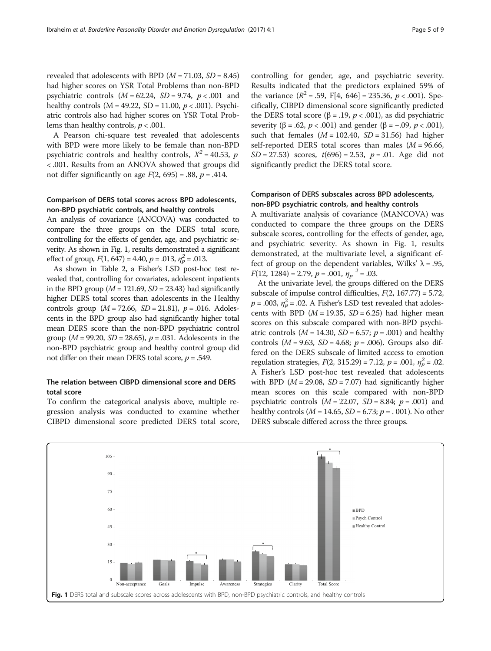revealed that adolescents with BPD ( $M = 71.03$ ,  $SD = 8.45$ ) had higher scores on YSR Total Problems than non-BPD psychiatric controls  $(M = 62.24, SD = 9.74, p < .001$  and healthy controls  $(M = 49.22, SD = 11.00, p < .001)$ . Psychiatric controls also had higher scores on YSR Total Problems than healthy controls,  $p < .001$ .

A Pearson chi-square test revealed that adolescents with BPD were more likely to be female than non-BPD psychiatric controls and healthy controls,  $X^2 = 40.53$ , p < .001. Results from an ANOVA showed that groups did not differ significantly on age  $F(2, 695) = .88$ ,  $p = .414$ .

### Comparison of DERS total scores across BPD adolescents, non-BPD psychiatric controls, and healthy controls

An analysis of covariance (ANCOVA) was conducted to compare the three groups on the DERS total score, controlling for the effects of gender, age, and psychiatric severity. As shown in Fig. 1, results demonstrated a significant effect of group,  $F(1, 647) = 4.40$ ,  $p = .013$ ,  $\eta_p^2 = .013$ .

As shown in Table [2](#page-3-0), a Fisher's LSD post-hoc test revealed that, controlling for covariates, adolescent inpatients in the BPD group ( $M = 121.69$ ,  $SD = 23.43$ ) had significantly higher DERS total scores than adolescents in the Healthy controls group  $(M = 72.66, SD = 21.81), p = .016$ . Adolescents in the BPD group also had significantly higher total mean DERS score than the non-BPD psychiatric control group ( $M = 99.20$ ,  $SD = 28.65$ ),  $p = .031$ . Adolescents in the non-BPD psychiatric group and healthy control group did not differ on their mean DERS total score,  $p = .549$ .

### The relation between CIBPD dimensional score and DERS total score

To confirm the categorical analysis above, multiple regression analysis was conducted to examine whether CIBPD dimensional score predicted DERS total score,

controlling for gender, age, and psychiatric severity. Results indicated that the predictors explained 59% of the variance  $(R^2 = .59, F[4, 646] = 235.36, p < .001)$ . Specifically, CIBPD dimensional score significantly predicted the DERS total score (β = .19,  $p < .001$ ), as did psychiatric severity ( $\beta = .62$ ,  $p < .001$ ) and gender ( $\beta = -.09$ ,  $p < .001$ ), such that females  $(M = 102.40, SD = 31.56)$  had higher self-reported DERS total scores than males  $(M = 96.66,$  $SD = 27.53$ ) scores,  $t(696) = 2.53$ ,  $p = .01$ . Age did not significantly predict the DERS total score.

### Comparison of DERS subscales across BPD adolescents, non-BPD psychiatric controls, and healthy controls

A multivariate analysis of covariance (MANCOVA) was conducted to compare the three groups on the DERS subscale scores, controlling for the effects of gender, age, and psychiatric severity. As shown in Fig. 1, results demonstrated, at the multivariate level, a significant effect of group on the dependent variables, Wilks'  $\lambda = .95$ ,  $F(12, 1284) = 2.79, p = .001, \eta_p^2 = .03.$ 

At the univariate level, the groups differed on the DERS subscale of impulse control difficulties,  $F(2, 167.77) = 5.72$ ,  $p = .003$ ,  $\eta_p^2 = .02$ . A Fisher's LSD test revealed that adolescents with BPD ( $M = 19.35$ ,  $SD = 6.25$ ) had higher mean scores on this subscale compared with non-BPD psychiatric controls ( $M = 14.30$ ,  $SD = 6.57$ ;  $p = .001$ ) and healthy controls  $(M = 9.63, SD = 4.68; p = .006)$ . Groups also differed on the DERS subscale of limited access to emotion regulation strategies,  $F(2, 315.29) = 7.12$ ,  $p = .001$ ,  $\eta_p^2 = .02$ . A Fisher's LSD post-hoc test revealed that adolescents with BPD ( $M = 29.08$ ,  $SD = 7.07$ ) had significantly higher mean scores on this scale compared with non-BPD psychiatric controls  $(M = 22.07, SD = 8.84; p = .001)$  and healthy controls ( $M = 14.65$ ,  $SD = 6.73$ ;  $p = .001$ ). No other DERS subscale differed across the three groups.

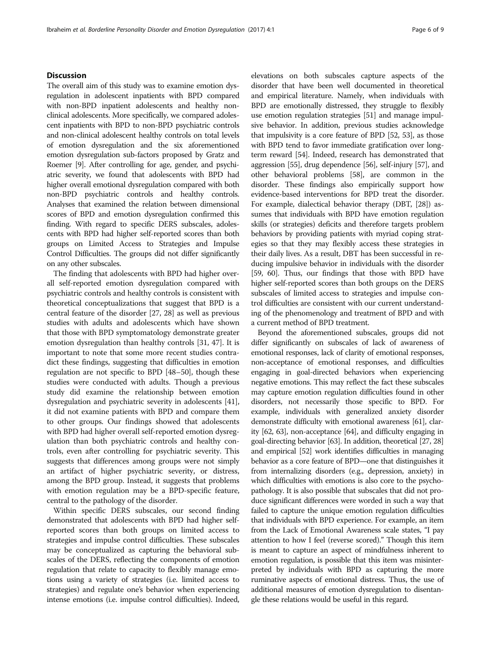### **Discussion**

The overall aim of this study was to examine emotion dysregulation in adolescent inpatients with BPD compared with non-BPD inpatient adolescents and healthy nonclinical adolescents. More specifically, we compared adolescent inpatients with BPD to non-BPD psychiatric controls and non-clinical adolescent healthy controls on total levels of emotion dysregulation and the six aforementioned emotion dysregulation sub-factors proposed by Gratz and Roemer [\[9\]](#page-7-0). After controlling for age, gender, and psychiatric severity, we found that adolescents with BPD had higher overall emotional dysregulation compared with both non-BPD psychiatric controls and healthy controls. Analyses that examined the relation between dimensional scores of BPD and emotion dysregulation confirmed this finding. With regard to specific DERS subscales, adolescents with BPD had higher self-reported scores than both groups on Limited Access to Strategies and Impulse Control Difficulties. The groups did not differ significantly on any other subscales.

The finding that adolescents with BPD had higher overall self-reported emotion dysregulation compared with psychiatric controls and healthy controls is consistent with theoretical conceptualizations that suggest that BPD is a central feature of the disorder [\[27, 28\]](#page-7-0) as well as previous studies with adults and adolescents which have shown that those with BPD symptomatology demonstrate greater emotion dysregulation than healthy controls [\[31,](#page-7-0) [47\]](#page-8-0). It is important to note that some more recent studies contradict these findings, suggesting that difficulties in emotion regulation are not specific to BPD [[48](#page-8-0)–[50\]](#page-8-0), though these studies were conducted with adults. Though a previous study did examine the relationship between emotion dysregulation and psychiatric severity in adolescents [[41](#page-8-0)], it did not examine patients with BPD and compare them to other groups. Our findings showed that adolescents with BPD had higher overall self-reported emotion dysregulation than both psychiatric controls and healthy controls, even after controlling for psychiatric severity. This suggests that differences among groups were not simply an artifact of higher psychiatric severity, or distress, among the BPD group. Instead, it suggests that problems with emotion regulation may be a BPD-specific feature, central to the pathology of the disorder.

Within specific DERS subscales, our second finding demonstrated that adolescents with BPD had higher selfreported scores than both groups on limited access to strategies and impulse control difficulties. These subscales may be conceptualized as capturing the behavioral subscales of the DERS, reflecting the components of emotion regulation that relate to capacity to flexibly manage emotions using a variety of strategies (i.e. limited access to strategies) and regulate one's behavior when experiencing intense emotions (i.e. impulse control difficulties). Indeed, elevations on both subscales capture aspects of the disorder that have been well documented in theoretical and empirical literature. Namely, when individuals with BPD are emotionally distressed, they struggle to flexibly use emotion regulation strategies [\[51](#page-8-0)] and manage impulsive behavior. In addition, previous studies acknowledge that impulsivity is a core feature of BPD [\[52, 53\]](#page-8-0), as those with BPD tend to favor immediate gratification over longterm reward [\[54\]](#page-8-0). Indeed, research has demonstrated that aggression [[55](#page-8-0)], drug dependence [[56](#page-8-0)], self-injury [\[57\]](#page-8-0), and other behavioral problems [\[58](#page-8-0)], are common in the disorder. These findings also empirically support how evidence-based interventions for BPD treat the disorder. For example, dialectical behavior therapy (DBT, [\[28\]](#page-7-0)) assumes that individuals with BPD have emotion regulation skills (or strategies) deficits and therefore targets problem behaviors by providing patients with myriad coping strategies so that they may flexibly access these strategies in their daily lives. As a result, DBT has been successful in reducing impulsive behavior in individuals with the disorder [[59](#page-8-0), [60](#page-8-0)]. Thus, our findings that those with BPD have higher self-reported scores than both groups on the DERS subscales of limited access to strategies and impulse control difficulties are consistent with our current understanding of the phenomenology and treatment of BPD and with a current method of BPD treatment.

Beyond the aforementioned subscales, groups did not differ significantly on subscales of lack of awareness of emotional responses, lack of clarity of emotional responses, non-acceptance of emotional responses, and difficulties engaging in goal-directed behaviors when experiencing negative emotions. This may reflect the fact these subscales may capture emotion regulation difficulties found in other disorders, not necessarily those specific to BPD. For example, individuals with generalized anxiety disorder demonstrate difficulty with emotional awareness [\[61\]](#page-8-0), clarity [\[62, 63\]](#page-8-0), non-acceptance [\[64\]](#page-8-0), and difficulty engaging in goal-directing behavior [\[63\]](#page-8-0). In addition, theoretical [\[27](#page-7-0), [28](#page-7-0)] and empirical [\[52\]](#page-8-0) work identifies difficulties in managing behavior as a core feature of BPD—one that distinguishes it from internalizing disorders (e.g., depression, anxiety) in which difficulties with emotions is also core to the psychopathology. It is also possible that subscales that did not produce significant differences were worded in such a way that failed to capture the unique emotion regulation difficulties that individuals with BPD experience. For example, an item from the Lack of Emotional Awareness scale states, "I pay attention to how I feel (reverse scored)." Though this item is meant to capture an aspect of mindfulness inherent to emotion regulation, is possible that this item was misinterpreted by individuals with BPD as capturing the more ruminative aspects of emotional distress. Thus, the use of additional measures of emotion dysregulation to disentangle these relations would be useful in this regard.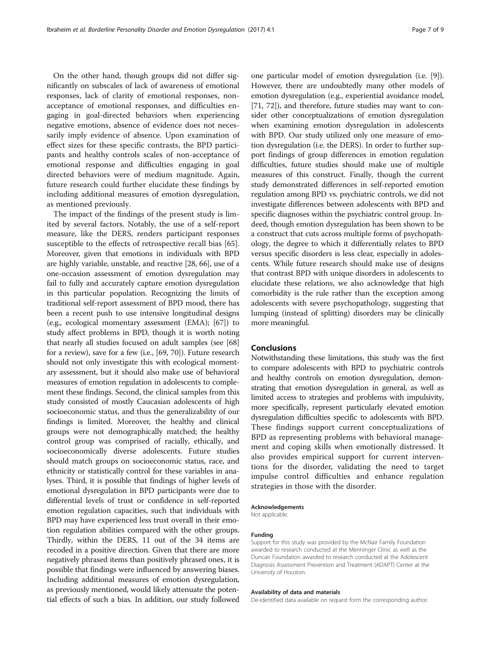On the other hand, though groups did not differ significantly on subscales of lack of awareness of emotional responses, lack of clarity of emotional responses, nonacceptance of emotional responses, and difficulties engaging in goal-directed behaviors when experiencing negative emotions, absence of evidence does not necessarily imply evidence of absence. Upon examination of effect sizes for these specific contrasts, the BPD participants and healthy controls scales of non-acceptance of emotional response and difficulties engaging in goal directed behaviors were of medium magnitude. Again, future research could further elucidate these findings by including additional measures of emotion dysregulation, as mentioned previously.

The impact of the findings of the present study is limited by several factors. Notably, the use of a self-report measure, like the DERS, renders participant responses susceptible to the effects of retrospective recall bias [\[65](#page-8-0)]. Moreover, given that emotions in individuals with BPD are highly variable, unstable, and reactive [\[28,](#page-7-0) [66](#page-8-0)], use of a one-occasion assessment of emotion dysregulation may fail to fully and accurately capture emotion dysregulation in this particular population. Recognizing the limits of traditional self-report assessment of BPD mood, there has been a recent push to use intensive longitudinal designs (e.g., ecological momentary assessment (EMA); [[67](#page-8-0)]) to study affect problems in BPD, though it is worth noting that nearly all studies focused on adult samples (see [[68](#page-8-0)] for a review), save for a few (i.e., [\[69, 70\]](#page-8-0)). Future research should not only investigate this with ecological momentary assessment, but it should also make use of behavioral measures of emotion regulation in adolescents to complement these findings. Second, the clinical samples from this study consisted of mostly Caucasian adolescents of high socioeconomic status, and thus the generalizability of our findings is limited. Moreover, the healthy and clinical groups were not demographically matched; the healthy control group was comprised of racially, ethically, and socioeconomically diverse adolescents. Future studies should match groups on socioeconomic status, race, and ethnicity or statistically control for these variables in analyses. Third, it is possible that findings of higher levels of emotional dysregulation in BPD participants were due to differential levels of trust or confidence in self-reported emotion regulation capacities, such that individuals with BPD may have experienced less trust overall in their emotion regulation abilities compared with the other groups. Thirdly, within the DERS, 11 out of the 34 items are recoded in a positive direction. Given that there are more negatively phrased items than positively phrased ones, it is possible that findings were influenced by answering biases. Including additional measures of emotion dysregulation, as previously mentioned, would likely attenuate the potential effects of such a bias. In addition, our study followed

one particular model of emotion dysregulation (i.e. [\[9](#page-7-0)]). However, there are undoubtedly many other models of emotion dysregulation (e.g., experiential avoidance model, [[71](#page-8-0), [72\]](#page-8-0)), and therefore, future studies may want to consider other conceptualizations of emotion dysregulation when examining emotion dysregulation in adolescents with BPD. Our study utilized only one measure of emotion dysregulation (i.e. the DERS). In order to further support findings of group differences in emotion regulation difficulties, future studies should make use of multiple measures of this construct. Finally, though the current study demonstrated differences in self-reported emotion regulation among BPD vs. psychiatric controls, we did not investigate differences between adolescents with BPD and specific diagnoses within the psychiatric control group. Indeed, though emotion dysregulation has been shown to be a construct that cuts across multiple forms of psychopathology, the degree to which it differentially relates to BPD versus specific disorders is less clear, especially in adolescents. While future research should make use of designs that contrast BPD with unique disorders in adolescents to elucidate these relations, we also acknowledge that high comorbidity is the rule rather than the exception among adolescents with severe psychopathology, suggesting that lumping (instead of splitting) disorders may be clinically more meaningful.

### Conclusions

Notwithstanding these limitations, this study was the first to compare adolescents with BPD to psychiatric controls and healthy controls on emotion dysregulation, demonstrating that emotion dysregulation in general, as well as limited access to strategies and problems with impulsivity, more specifically, represent particularly elevated emotion dysregulation difficulties specific to adolescents with BPD. These findings support current conceptualizations of BPD as representing problems with behavioral management and coping skills when emotionally distressed. It also provides empirical support for current interventions for the disorder, validating the need to target impulse control difficulties and enhance regulation strategies in those with the disorder.

#### Acknowledgements

Not applicable.

#### Funding

Support for this study was provided by the McNair Family Foundation awarded to research conducted at the Menninger Clinic as well as the Duncan Foundation awarded to research conducted at the Adolescent Diagnosis Assessment Prevention and Treatment (ADAPT) Center at the University of Houston.

#### Availability of data and materials

De-identified data available on request form the corresponding author.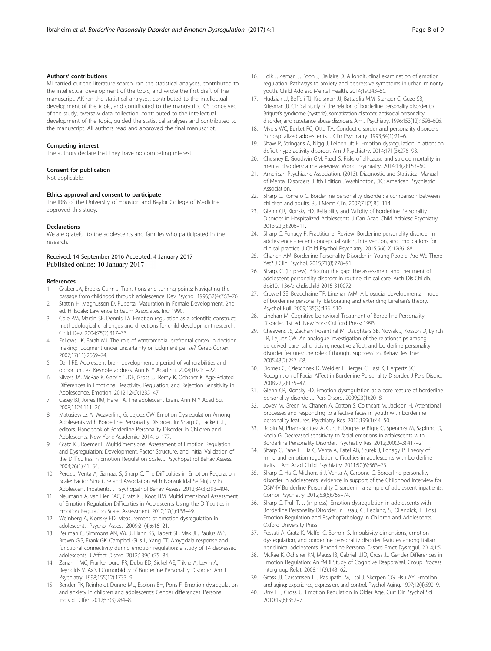### <span id="page-7-0"></span>Authors' contributions

MI carried out the literature search, ran the statistical analyses, contributed to the intellectual development of the topic, and wrote the first draft of the manuscript. AK ran the statistical analyses, contributed to the intellectual development of the topic, and contributed to the manuscript. CS conceived of the study, oversaw data collection, contributed to the intellectual development of the topic, guided the statistical analyses and contributed to the manuscript. All authors read and approved the final manuscript.

#### Competing interest

The authors declare that they have no competing interest.

#### Consent for publication

Not applicable.

#### Ethics approval and consent to participate

The IRBs of the University of Houston and Baylor College of Medicine approved this study.

#### Declarations

We are grateful to the adolescents and families who participated in the research.

### Received: 14 September 2016 Accepted: 4 January 2017 Published online: 10 January 2017

#### References

- 1. Graber JA, Brooks-Gunn J. Transitions and turning points: Navigating the passage from childhood through adolescence. Dev Psychol. 1996;32(4):768–76.
- 2. Stattin H, Magnusson D. Pubertal Maturation in Female Development. 2nd ed. Hillsdale: Lawrence Erlbaum Associates, Inc; 1990.
- 3. Cole PM, Martin SE, Dennis TA. Emotion regulation as a scientific construct: methodological challenges and directions for child development research. Child Dev. 2004;75(2):317–33.
- 4. Fellows LK, Farah MJ. The role of ventromedial prefrontal cortex in decision making: judgment under uncertainty or judgment per se? Cereb Cortex. 2007;17(11):2669–74.
- 5. Dahl RE. Adolescent brain development: a period of vulnerabilities and opportunities. Keynote address. Ann N Y Acad Sci. 2004;1021:1–22.
- 6. Silvers JA, McRae K, Gabrieli JDE, Gross JJ, Remy K, Ochsner K. Age-Related Differences in Emotional Reactivity, Regulation, and Rejection Sensitivity in Adolescence. Emotion. 2012;12(6):1235–47.
- 7. Casey BJ, Jones RM, Hare TA. The adolescent brain. Ann N Y Acad Sci. 2008;1124:111–26.
- 8. Matusiewicz A, Weaverling G, Lejuez CW. Emotion Dysregulation Among Adolesents with Borderline Personality Disorder. In: Sharp C, Tackett JL, editors. Handbook of Borderline Personality Disorder in Children and Adolescents. New York: Academic; 2014. p. 177.
- 9. Gratz KL, Roemer L. Multidimensional Assessment of Emotion Regulation and Dysregulation: Development, Factor Structure, and Initial Validation of the Difficulties in Emotion Regulation Scale. J Psychopathol Behav Assess. 2004;26(1):41–54.
- 10. Perez J, Venta A, Garnaat S, Sharp C. The Difficulties in Emotion Regulation Scale: Factor Structure and Association with Nonsuicidal Self-Injury in Adolescent Inpatients. J Psychopathol Behav Assess. 2012;34(3):393–404.
- 11. Neumann A, van Lier PAC, Gratz KL, Koot HM. Multidimensional Assessment of Emotion Regulation Difficulties in Adolescents Using the Difficulties in Emotion Regulation Scale. Assessment. 2010;17(1):138–49.
- 12. Weinberg A, Klonsky ED. Measurement of emotion dysregulation in adolescents. Psychol Assess. 2009;21(4):616–21.
- 13. Perlman G, Simmons AN, Wu J, Hahn KS, Tapert SF, Max JE, Paulus MP, Brown GG, Frank GK, Campbell-Sills L, Yang TT. Amygdala response and functional connectivity during emotion regulation: a study of 14 depressed adolescents. J Affect Disord. 2012;139(1):75–84.
- 14. Zanarini MC, Frankenburg FR, Dubo ED, Sickel AE, Trikha A, Levin A, Reynolds V. Axis I Comorbidity of Borderline Personality Disorder. Am J Psychiatry. 1998;155(12):1733–9.
- 15. Bender PK, Reinholdt-Dunne ML, Esbjorn BH, Pons F. Emotion dysregulation and anxiety in children and adolescents: Gender differences. Personal Individ Differ. 2012;53(3):284–8.
- 16. Folk J, Zeman J, Poon J, Dallaire D. A longitudinal examination of emotion regulation: Pathways to anxiety and depressive symptoms in urban minority youth. Child Adolesc Mental Health. 2014;19:243–50.
- 17. Hudziak JJ, Boffeli TJ, Kreisman JJ, Battaglia MM, Stanger C, Guze SB, Kriesman JJ. Clinical study of the relation of borderline personality disorder to Briquet's syndrome (hysteria), somatization disorder, antisocial personality disorder, and substance abuse disorders. Am J Psychiatry. 1996;153(12):1598–606.
- 18. Myers WC, Burket RC, Otto TA. Conduct disorder and personality disorders in hospitalized adolescents. J Clin Psychiatry. 1993;54(1):21–6.
- 19. Shaw P, Stringaris A, Nigg J, Leibenluft E. Emotion dysregulation in attention deficit hyperactivity disorder. Am J Psychiatry. 2014;171(3):276–93.
- 20. Chesney E, Goodwin GM, Fazel S. Risks of all-cause and suicide mortality in mental disorders: a meta-review. World Psychiatry. 2014;13(2):153–60.
- 21. American Psychiatric Association. (2013). Diagnostic and Statistical Manual of Mental Disorders (Fifth Edition). Washington, DC: American Psychiatric Association.
- 22. Sharp C, Romero C. Borderline personality disorder: a comparison between children and adults. Bull Menn Clin. 2007;71(2):85–114.
- 23. Glenn CR, Klonsky ED. Reliability and Validity of Borderline Personality Disorder in Hospitalized Adolescents. J Can Acad Child Adolesc Psychiatry. 2013;22(3):206–11.
- Sharp C, Fonagy P. Practitioner Review: Borderline personality disorder in adolescence - recent conceptualization, intervention, and implications for clinical practice. J Child Psychol Psychiatry. 2015;56(12):1266–88.
- 25. Chanen AM. Borderline Personality Disorder in Young People: Are We There Yet? J Clin Psychol. 2015;71(8):778–91.
- 26. Sharp, C. (in press). Bridging the gap: The assessment and treatment of adolescent personality disorder in routine clinical care. Arch Dis Childh. doi[:10.1136/archdischild-2015-310072](http://dx.doi.org/10.1136/archdischild-2015-310072).
- 27. Crowell SE, Beauchaine TP, Linehan MM. A biosocial developmental model of borderline personality: Elaborating and extending Linehan's theory. Psychol Bull. 2009;135(3):495–510.
- 28. Linehan M. Cognitive-behavioral Treatment of Borderline Personality Disorder. 1st ed. New York: Guilford Press; 1993.
- 29. Cheavens JS, Zachary Rosenthal M, Daughters SB, Nowak J, Kosson D, Lynch TR, Lejuez CW. An analogue investigation of the relationships among perceived parental criticism, negative affect, and borderline personality disorder features: the role of thought suppression. Behav Res Ther. 2005;43(2):257–68.
- 30. Domes G, Czieschnek D, Weidler F, Berger C, Fast K, Herpertz SC. Recognition of Facial Affect in Borderline Personality Disorder. J Pers Disord. 2008;22(2):135–47.
- 31. Glenn CR, Klonsky ED. Emotion dysregulation as a core feature of borderline personality disorder. J Pers Disord. 2009;23(1):20–8.
- 32. Jovev M, Green M, Chanen A, Cotton S, Coltheart M, Jackson H. Attentional processes and responding to affective faces in youth with borderline personality features. Psychiatry Res. 2012;199(1):44–50.
- 33. Robin M, Pham-Scottez A, Curt F, Dugre-Le Bigre C, Speranza M, Sapinho D, Kedia G. Decreased sensitivity to facial emotions in adolescents with Borderline Personality Disorder. Psychiatry Res. 2012;200(2–3):417–21.
- 34. Sharp C, Pane H, Ha C, Venta A, Patel AB, Sturek J, Fonagy P. Theory of mind and emotion regulation difficulties in adolescents with borderline traits. J Am Acad Child Psychiatry. 2011;50(6):563–73.
- 35. Sharp C, Ha C, Michonski J, Venta A, Carbone C. Borderline personality disorder in adolescents: evidence in support of the Childhood Interview for DSM-IV Borderline Personality Disorder in a sample of adolescent inpatients. Compr Psychiatry. 2012;53(6):765–74.
- 36. Sharp C, Trull T. J. (in press). Emotion dysregulation in adolescents with Borderline Personality Disorder. In Essau, C., Leblanc, S., Ollendick, T. (Eds.). Emotion Regulation and Psychopathology in Children and Adolescents. Oxford University Press.
- 37. Fossati A, Gratz K, Maffei C, Borroni S. Impulsivity dimensions, emotion dysregulation, and borderline personality disorder features among Italian nonclinical adolescents. Borderline Personal Disord Emot Dysregul. 2014;1:5.
- 38. McRae K, Ochsner KN, Mauss IB, Gabrieli JJD, Gross JJ. Gender Differences in Emotion Regulation: An fMRI Study of Cognitive Reappraisal. Group Process Intergroup Relat. 2008;11(2):143–62.
- 39. Gross JJ, Carstensen LL, Pasupathi M, Tsai J, Skorpen CG, Hsu AY. Emotion and aging: experience, expression, and control. Psychol Aging. 1997;12(4):590–9.
- 40. Urry HL, Gross JJ. Emotion Regulation in Older Age. Curr Dir Psychol Sci. 2010;19(6):352–7.